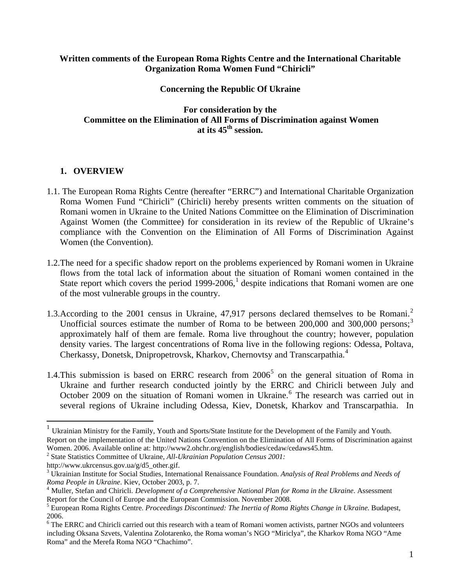#### **Written comments of the European Roma Rights Centre and the International Charitable Organization Roma Women Fund "Chiricli"**

#### **Concerning the Republic Of Ukraine**

**For consideration by the Committee on the Elimination of All Forms of Discrimination against Women at its 45th session.** 

### **1. OVERVIEW**

- 1.1. The European Roma Rights Centre (hereafter "ERRC") and International Charitable Organization Roma Women Fund "Chiricli" (Chiricli) hereby presents written comments on the situation of Romani women in Ukraine to the United Nations Committee on the Elimination of Discrimination Against Women (the Committee) for consideration in its review of the Republic of Ukraine's compliance with the Convention on the Elimination of All Forms of Discrimination Against Women (the Convention).
- 1.2.The need for a specific shadow report on the problems experienced by Romani women in Ukraine flows from the total lack of information about the situation of Romani women contained in the State report which covers the period [1](#page-0-0)999-2006,<sup>1</sup> despite indications that Romani women are one of the most vulnerable groups in the country.
- 1.3. According to the [2](#page-0-1)001 census in Ukraine, 47,917 persons declared themselves to be Romani.<sup>2</sup> Unofficial sources estimate the number of Roma to be between  $200,000$  and  $300,000$  $300,000$  persons;<sup>3</sup> approximately half of them are female. Roma live throughout the country; however, population density varies. The largest concentrations of Roma live in the following regions: Odessa, Poltava, Cherkassy, Donetsk, Dnipropetrovsk, Kharkov, Chernovtsy and Transcarpathia.[4](#page-0-3)
- 1.4. This submission is based on ERRC research from  $2006<sup>5</sup>$  $2006<sup>5</sup>$  $2006<sup>5</sup>$  on the general situation of Roma in Ukraine and further research conducted jointly by the ERRC and Chiricli between July and October 2009 on the situation of Romani women in Ukraine.<sup>[6](#page-0-5)</sup> The research was carried out in several regions of Ukraine including Odessa, Kiev, Donetsk, Kharkov and Transcarpathia. In

<span id="page-0-0"></span><sup>&</sup>lt;sup>1</sup> Ukrainian Ministry for the Family, Youth and Sports/State Institute for the Development of the Family and Youth.

Report on the implementation of the United Nations Convention on the Elimination of All Forms of Discrimination against Women. 2006. Available online at: http://www2.ohchr.org/english/bodies/cedaw/cedaws45.htm.

<span id="page-0-1"></span><sup>2</sup> State Statistics Committee of Ukraine, *All-Ukrainian Population Census 2001:* 

http://www.ukrcensus.gov.ua/g/d5\_other.gif.

<span id="page-0-2"></span><sup>3</sup> Ukrainian Institute for Social Studies, International Renaissance Foundation. *Analysis of Real Problems and Needs of Roma People in Ukraine*. Kiev, October 2003, p. 7.<br><sup>4</sup> Muller, Stefan and Chiricli. *Development of a Comprehensive National Plan for Roma in the Ukraine*. Assessment

<span id="page-0-3"></span>Report for the Council of Europe and the European Commission. November 2008.

<span id="page-0-4"></span><sup>5</sup> European Roma Rights Centre. *Proceedings Discontinued: The Inertia of Roma Rights Change in Ukraine*. Budapest, 2006.

<span id="page-0-5"></span><sup>&</sup>lt;sup>6</sup> The ERRC and Chiricli carried out this research with a team of Romani women activists, partner NGOs and volunteers including Oksana Szvets, Valentina Zolotarenko, the Roma woman's NGO "Miriclya", the Kharkov Roma NGO "Ame Roma" and the Merefa Roma NGO "Chachimo".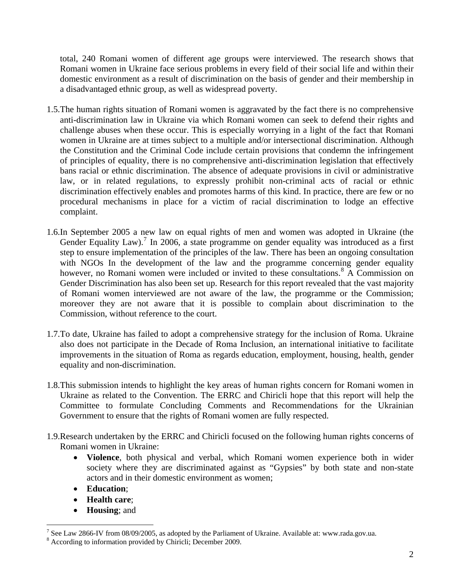total, 240 Romani women of different age groups were interviewed. The research shows that Romani women in Ukraine face serious problems in every field of their social life and within their domestic environment as a result of discrimination on the basis of gender and their membership in a disadvantaged ethnic group, as well as widespread poverty.

- 1.5.The human rights situation of Romani women is aggravated by the fact there is no comprehensive anti-discrimination law in Ukraine via which Romani women can seek to defend their rights and challenge abuses when these occur. This is especially worrying in a light of the fact that Romani women in Ukraine are at times subject to a multiple and/or intersectional discrimination. Although the Constitution and the Criminal Code include certain provisions that condemn the infringement of principles of equality, there is no comprehensive anti-discrimination legislation that effectively bans racial or ethnic discrimination. The absence of adequate provisions in civil or administrative law, or in related regulations, to expressly prohibit non-criminal acts of racial or ethnic discrimination effectively enables and promotes harms of this kind. In practice, there are few or no procedural mechanisms in place for a victim of racial discrimination to lodge an effective complaint.
- 1.6.In September 2005 a new law on equal rights of men and women was adopted in Ukraine (the Gender Equality Law).<sup>[7](#page-1-0)</sup> In 2006, a state programme on gender equality was introduced as a first step to ensure implementation of the principles of the law. There has been an ongoing consultation with NGOs In the development of the law and the programme concerning gender equality however, no Romani women were included or invited to these consultations.<sup>[8](#page-1-1)</sup> A Commission on Gender Discrimination has also been set up. Research for this report revealed that the vast majority of Romani women interviewed are not aware of the law, the programme or the Commission; moreover they are not aware that it is possible to complain about discrimination to the Commission, without reference to the court.
- 1.7.To date, Ukraine has failed to adopt a comprehensive strategy for the inclusion of Roma. Ukraine also does not participate in the Decade of Roma Inclusion, an international initiative to facilitate improvements in the situation of Roma as regards education, employment, housing, health, gender equality and non-discrimination.
- 1.8.This submission intends to highlight the key areas of human rights concern for Romani women in Ukraine as related to the Convention. The ERRC and Chiricli hope that this report will help the Committee to formulate Concluding Comments and Recommendations for the Ukrainian Government to ensure that the rights of Romani women are fully respected.
- 1.9.Research undertaken by the ERRC and Chiricli focused on the following human rights concerns of Romani women in Ukraine:
	- **Violence**, both physical and verbal, which Romani women experience both in wider society where they are discriminated against as "Gypsies" by both state and non-state actors and in their domestic environment as women;
	- **Education**;

- **Health care**;
- **Housing**; and

<span id="page-1-0"></span><sup>&</sup>lt;sup>7</sup> See Law 2866-IV from 08/09/2005, as adopted by the Parliament of Ukraine. Available at: www.rada.gov.ua.

<span id="page-1-1"></span><sup>8</sup> According to information provided by Chiricli; December 2009.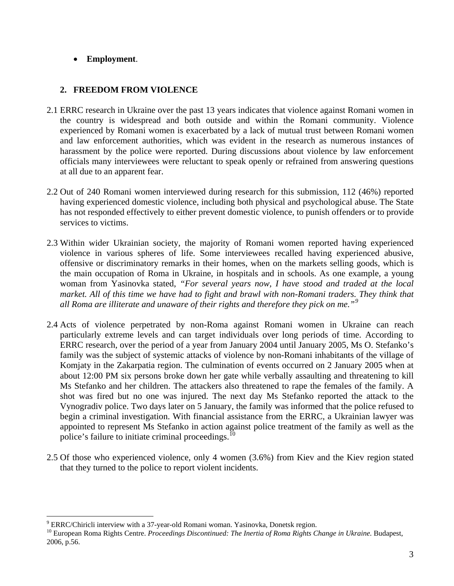# • **Employment**.

### **2. FREEDOM FROM VIOLENCE**

- 2.1 ERRC research in Ukraine over the past 13 years indicates that violence against Romani women in the country is widespread and both outside and within the Romani community. Violence experienced by Romani women is exacerbated by a lack of mutual trust between Romani women and law enforcement authorities, which was evident in the research as numerous instances of harassment by the police were reported. During discussions about violence by law enforcement officials many interviewees were reluctant to speak openly or refrained from answering questions at all due to an apparent fear.
- 2.2 Out of 240 Romani women interviewed during research for this submission, 112 (46%) reported having experienced domestic violence, including both physical and psychological abuse. The State has not responded effectively to either prevent domestic violence, to punish offenders or to provide services to victims.
- 2.3 Within wider Ukrainian society, the majority of Romani women reported having experienced violence in various spheres of life. Some interviewees recalled having experienced abusive, offensive or discriminatory remarks in their homes, when on the markets selling goods, which is the main occupation of Roma in Ukraine, in hospitals and in schools. As one example, a young woman from Yasinovka stated, *"For several years now, I have stood and traded at the local market. All of this time we have had to fight and brawl with non-Romani traders. They think that all Roma are illiterate and unaware of their rights and therefore they pick on me."[9](#page-2-0)*
- 2.4 Acts of violence perpetrated by non-Roma against Romani women in Ukraine can reach particularly extreme levels and can target individuals over long periods of time. According to ERRC research, over the period of a year from January 2004 until January 2005, Ms O. Stefanko's family was the subject of systemic attacks of violence by non-Romani inhabitants of the village of Komjaty in the Zakarpatia region. The culmination of events occurred on 2 January 2005 when at about 12:00 PM six persons broke down her gate while verbally assaulting and threatening to kill Ms Stefanko and her children. The attackers also threatened to rape the females of the family. A shot was fired but no one was injured. The next day Ms Stefanko reported the attack to the Vynogradiv police. Two days later on 5 January, the family was informed that the police refused to begin a criminal investigation. With financial assistance from the ERRC, a Ukrainian lawyer was appointed to represent Ms Stefanko in action against police treatment of the family as well as the police's failure to initiate criminal proceedings.<sup>[10](#page-2-1)</sup>
- 2.5 Of those who experienced violence, only 4 women (3.6%) from Kiev and the Kiev region stated that they turned to the police to report violent incidents.

 $\overline{a}$ <sup>9</sup> ERRC/Chiricli interview with a 37-year-old Romani woman. Yasinovka, Donetsk region.

<span id="page-2-1"></span><span id="page-2-0"></span><sup>&</sup>lt;sup>10</sup> European Roma Rights Centre. Proceedings Discontinued: The Inertia of Roma Rights Change in Ukraine. Budapest, 2006, p.56.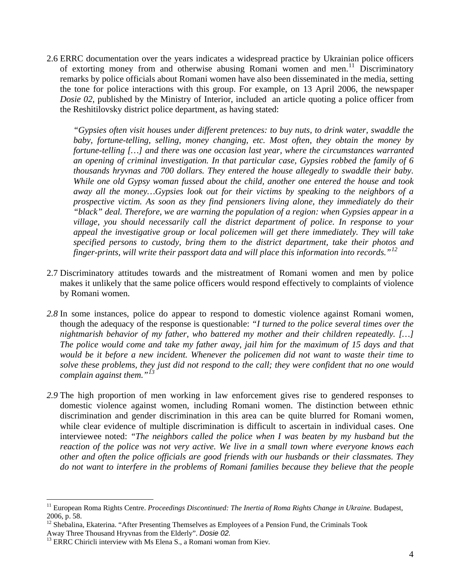2.6 ERRC documentation over the years indicates a widespread practice by Ukrainian police officers of extorting money from and otherwise abusing Romani women and men.<sup>[11](#page-3-0)</sup> Discriminatory remarks by police officials about Romani women have also been disseminated in the media, setting the tone for police interactions with this group. For example, on 13 April 2006, the newspaper *Dosie 02*, published by the Ministry of Interior, included an article quoting a police officer from the Reshitilovsky district police department, as having stated:

*"Gypsies often visit houses under different pretences: to buy nuts, to drink water, swaddle the baby, fortune-telling, selling, money changing, etc. Most often, they obtain the money by fortune-telling […] and there was one occasion last year, where the circumstances warranted an opening of criminal investigation. In that particular case, Gypsies robbed the family of 6 thousands hryvnas and 700 dollars. They entered the house allegedly to swaddle their baby. While one old Gypsy woman fussed about the child, another one entered the house and took away all the money…Gypsies look out for their victims by speaking to the neighbors of a prospective victim. As soon as they find pensioners living alone, they immediately do their "black" deal. Therefore, we are warning the population of a region: when Gypsies appear in a village, you should necessarily call the district department of police. In response to your appeal the investigative group or local policemen will get there immediately. They will take specified persons to custody, bring them to the district department, take their photos and finger-prints, will write their passport data and will place this information into records."[12](#page-3-1)*

- 2.7 Discriminatory attitudes towards and the mistreatment of Romani women and men by police makes it unlikely that the same police officers would respond effectively to complaints of violence by Romani women.
- *2.8* In some instances, police do appear to respond to domestic violence against Romani women, though the adequacy of the response is questionable: *"I turned to the police several times over the nightmarish behavior of my father, who battered my mother and their children repeatedly. […] The police would come and take my father away, jail him for the maximum of 15 days and that would be it before a new incident. Whenever the policemen did not want to waste their time to solve these problems, they just did not respond to the call; they were confident that no one would complain against them."[13](#page-3-2)*
- *2.9* The high proportion of men working in law enforcement gives rise to gendered responses to domestic violence against women, including Romani women. The distinction between ethnic discrimination and gender discrimination in this area can be quite blurred for Romani women, while clear evidence of multiple discrimination is difficult to ascertain in individual cases. One interviewee noted: *"The neighbors called the police when I was beaten by my husband but the reaction of the police was not very active. We live in a small town where everyone knows each other and often the police officials are good friends with our husbands or their classmates. They do not want to interfere in the problems of Romani families because they believe that the people*

<span id="page-3-0"></span><sup>&</sup>lt;sup>11</sup> European Roma Rights Centre. *Proceedings Discontinued: The Inertia of Roma Rights Change in Ukraine*. Budapest, 2006, p. 58.

<span id="page-3-1"></span><sup>&</sup>lt;sup>12</sup> Shebalina, Ekaterina. "After Presenting Themselves as Employees of a Pension Fund, the Criminals Took

<span id="page-3-2"></span>Away Three Thousand Hryvnas from the Elderly". *Dosie 02.* 13 ERRC Chiricli interview with Ms Elena S., a Romani woman from Kiev*.*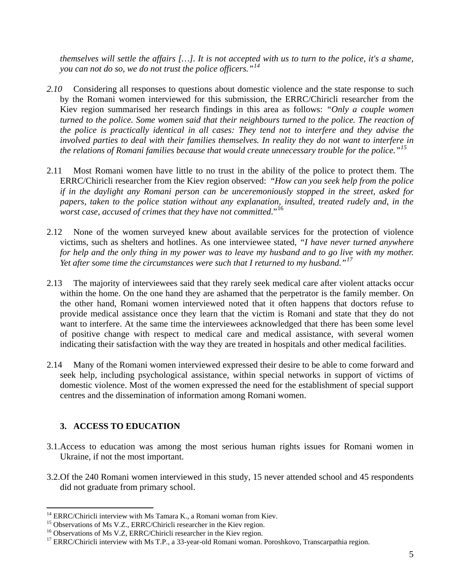*themselves will settle the affairs […]. It is not accepted with us to turn to the police, it's a shame, you can not do so, we do not trust the police officers."[14](#page-4-0)*

- *2.10* Considering all responses to questions about domestic violence and the state response to such by the Romani women interviewed for this submission, the ERRC/Chiricli researcher from the Kiev region summarised her research findings in this area as follows: *"Only a couple women turned to the police. Some women said that their neighbours turned to the police. The reaction of the police is practically identical in all cases: They tend not to interfere and they advise the involved parties to deal with their families themselves. In reality they do not want to interfere in the relations of Romani families because that would create unnecessary trouble for the police."[15](#page-4-1)*
- 2.11 Most Romani women have little to no trust in the ability of the police to protect them. The ERRC/Chiricli researcher from the Kiev region observed: "*How can you seek help from the police if in the daylight any Romani person can be unceremoniously stopped in the street, asked for papers, taken to the police station without any explanation, insulted, treated rudely and, in the worst case, accused of crimes that they have not committed*."[16](#page-4-2)
- 2.12 None of the women surveyed knew about available services for the protection of violence victims, such as shelters and hotlines. As one interviewee stated, *"I have never turned anywhere for help and the only thing in my power was to leave my husband and to go live with my mother. Yet after some time the circumstances were such that I returned to my husband."[17](#page-4-3)*
- 2.13 The majority of interviewees said that they rarely seek medical care after violent attacks occur within the home. On the one hand they are ashamed that the perpetrator is the family member. On the other hand, Romani women interviewed noted that it often happens that doctors refuse to provide medical assistance once they learn that the victim is Romani and state that they do not want to interfere. At the same time the interviewees acknowledged that there has been some level of positive change with respect to medical care and medical assistance, with several women indicating their satisfaction with the way they are treated in hospitals and other medical facilities.
- 2.14 Many of the Romani women interviewed expressed their desire to be able to come forward and seek help, including psychological assistance, within special networks in support of victims of domestic violence. Most of the women expressed the need for the establishment of special support centres and the dissemination of information among Romani women.

# **3. ACCESS TO EDUCATION**

- 3.1.Access to education was among the most serious human rights issues for Romani women in Ukraine, if not the most important.
- 3.2.Of the 240 Romani women interviewed in this study, 15 never attended school and 45 respondents did not graduate from primary school.

 $14$  ERRC/Chiricli interview with Ms Tamara K., a Romani woman from Kiev.

<span id="page-4-1"></span><span id="page-4-0"></span><sup>&</sup>lt;sup>15</sup> Observations of Ms V.Z., ERRC/Chiricli researcher in the Kiev region.

<span id="page-4-2"></span><sup>&</sup>lt;sup>16</sup> Observations of Ms V.Z, ERRC/Chiricli researcher in the Kiev region.

<span id="page-4-3"></span><sup>&</sup>lt;sup>17</sup> ERRC/Chiricli interview with Ms T.P., a 33-year-old Romani woman. Poroshkovo, Transcarpathia region.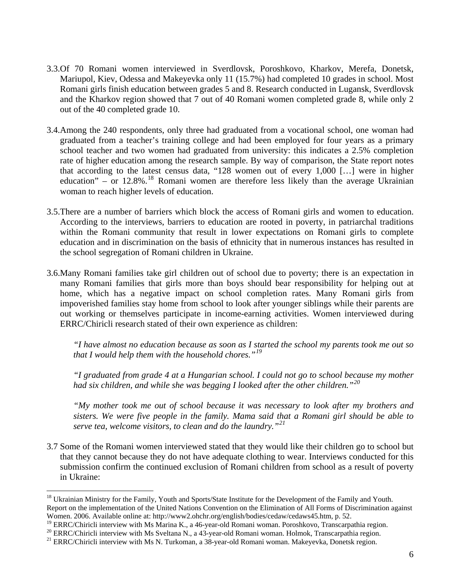- 3.3.Of 70 Romani women interviewed in Sverdlovsk, Poroshkovo, Kharkov, Merefa, Donetsk, Mariupol, Kiev, Odessa and Makeyevka only 11 (15.7%) had completed 10 grades in school. Most Romani girls finish education between grades 5 and 8. Research conducted in Lugansk, Sverdlovsk and the Kharkov region showed that 7 out of 40 Romani women completed grade 8, while only 2 out of the 40 completed grade 10.
- 3.4.Among the 240 respondents, only three had graduated from a vocational school, one woman had graduated from a teacher's training college and had been employed for four years as a primary school teacher and two women had graduated from university: this indicates a 2.5% completion rate of higher education among the research sample. By way of comparison, the State report notes that according to the latest census data, "128 women out of every 1,000 […] were in higher education" – or  $12.8\%$ .<sup>[18](#page-5-0)</sup> Romani women are therefore less likely than the average Ukrainian woman to reach higher levels of education.
- 3.5.There are a number of barriers which block the access of Romani girls and women to education. According to the interviews, barriers to education are rooted in poverty, in patriarchal traditions within the Romani community that result in lower expectations on Romani girls to complete education and in discrimination on the basis of ethnicity that in numerous instances has resulted in the school segregation of Romani children in Ukraine.
- 3.6.Many Romani families take girl children out of school due to poverty; there is an expectation in many Romani families that girls more than boys should bear responsibility for helping out at home, which has a negative impact on school completion rates. Many Romani girls from impoverished families stay home from school to look after younger siblings while their parents are out working or themselves participate in income-earning activities. Women interviewed during ERRC/Chiricli research stated of their own experience as children:

*"I have almost no education because as soon as I started the school my parents took me out so that I would help them with the household chores."[19](#page-5-1)* 

*"I graduated from grade 4 at a Hungarian school. I could not go to school because my mother had six children, and while she was begging I looked after the other children."[20](#page-5-2)*

*"My mother took me out of school because it was necessary to look after my brothers and sisters. We were five people in the family. Mama said that a Romani girl should be able to serve tea, welcome visitors, to clean and do the laundry."[21](#page-5-3)* 

3.7 Some of the Romani women interviewed stated that they would like their children go to school but that they cannot because they do not have adequate clothing to wear. Interviews conducted for this submission confirm the continued exclusion of Romani children from school as a result of poverty in Ukraine:

<span id="page-5-0"></span><sup>&</sup>lt;sup>18</sup> Ukrainian Ministry for the Family, Youth and Sports/State Institute for the Development of the Family and Youth. Report on the implementation of the United Nations Convention on the Elimination of All Forms of Discrimination against Women. 2006. Available online at: http://www2.ohchr.org/english/bodies/cedaw/cedaws45.htm, p. 52.<br><sup>19</sup> ERRC/Chiricli interview with Ms Marina K., a 46-year-old Romani woman. Poroshkovo, Transcarpathia region.

<span id="page-5-1"></span>

<span id="page-5-2"></span><sup>&</sup>lt;sup>20</sup> ERRC/Chiricli interview with Ms Sveltana N., a 43-year-old Romani woman. Holmok, Transcarpathia region.<br><sup>21</sup> ERRC/Chiricli interview with Ms N. Turkoman, a 38-year-old Romani woman. Makeyevka, Donetsk region.

<span id="page-5-3"></span>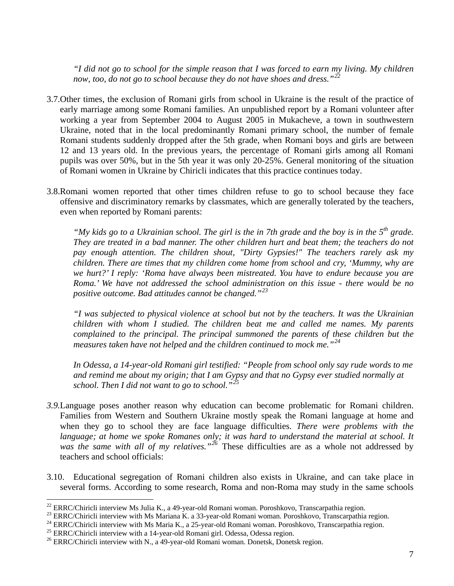*"I did not go to school for the simple reason that I was forced to earn my living. My children now, too, do not go to school because they do not have shoes and dress."[22](#page-6-0)* 

- 3.7.Other times, the exclusion of Romani girls from school in Ukraine is the result of the practice of early marriage among some Romani families. An unpublished report by a Romani volunteer after working a year from September 2004 to August 2005 in Mukacheve, a town in southwestern Ukraine, noted that in the local predominantly Romani primary school, the number of female Romani students suddenly dropped after the 5th grade, when Romani boys and girls are between 12 and 13 years old. In the previous years, the percentage of Romani girls among all Romani pupils was over 50%, but in the 5th year it was only 20-25%. General monitoring of the situation of Romani women in Ukraine by Chiricli indicates that this practice continues today.
- 3.8.Romani women reported that other times children refuse to go to school because they face offensive and discriminatory remarks by classmates, which are generally tolerated by the teachers, even when reported by Romani parents:

*"My kids go to a Ukrainian school. The girl is the in 7th grade and the boy is in the 5th grade. They are treated in a bad manner. The other children hurt and beat them; the teachers do not pay enough attention. The children shout, "Dirty Gypsies!" The teachers rarely ask my children. There are times that my children come home from school and cry, 'Mummy, why are we hurt?' I reply: 'Roma have always been mistreated. You have to endure because you are Roma.' We have not addressed the school administration on this issue - there would be no positive outcome. Bad attitudes cannot be changed."[23](#page-6-1)* 

*"I was subjected to physical violence at school but not by the teachers. It was the Ukrainian children with whom I studied. The children beat me and called me names. My parents complained to the principal. The principal summoned the parents of these children but the measures taken have not helped and the children continued to mock me."[24](#page-6-2)* 

*In Odessa, a 14-year-old Romani girl testified: "People from school only say rude words to me and remind me about my origin; that I am Gypsy and that no Gypsy ever studied normally at school. Then I did not want to go to school."[25](#page-6-3)*

- *3.9.*Language poses another reason why education can become problematic for Romani children. Families from Western and Southern Ukraine mostly speak the Romani language at home and when they go to school they are face language difficulties. *There were problems with the language; at home we spoke Romanes only; it was hard to understand the material at school. It was the same with all of my relatives."[26](#page-6-4)* These difficulties are as a whole not addressed by teachers and school officials:
- 3.10. Educational segregation of Romani children also exists in Ukraine, and can take place in several forms. According to some research, Roma and non-Roma may study in the same schools

<span id="page-6-0"></span><sup>&</sup>lt;sup>22</sup> ERRC/Chiricli interview Ms Julia K., a 49-year-old Romani woman. Poroshkovo, Transcarpathia region.<br><sup>23</sup> ERRC/Chiricli interview with Ms Mariana K. a 33-year-old Romani woman. Poroshkovo, Transcarpathia region.

<span id="page-6-3"></span><span id="page-6-2"></span><span id="page-6-1"></span><sup>&</sup>lt;sup>24</sup> ERRC/Chiricli interview with Ms Maria K., a 25-year-old Romani woman. Poroshkovo, Transcarpathia region.<br><sup>25</sup> ERRC/Chiricli interview with a 14-year-old Romani girl. Odessa, Odessa region.<br><sup>26</sup> ERRC/Chiricli intervie

<span id="page-6-4"></span>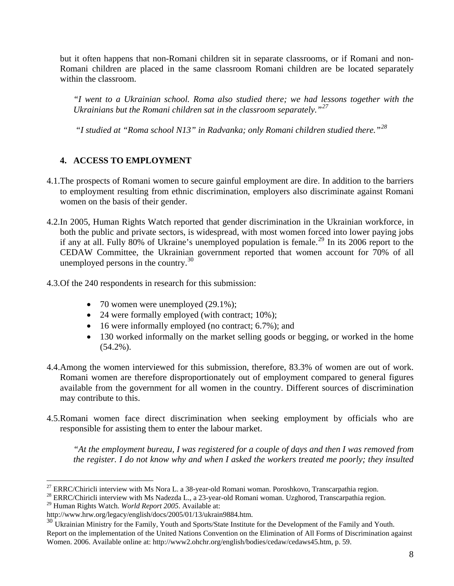but it often happens that non-Romani children sit in separate classrooms, or if Romani and non-Romani children are placed in the same classroom Romani children are be located separately within the classroom.

*"I went to a Ukrainian school. Roma also studied there; we had lessons together with the Ukrainians but the Romani children sat in the classroom separately."[27](#page-7-0)*

 *"I studied at "Roma school N13" in Radvanka; only Romani children studied there."[28](#page-7-1)*

# **4. ACCESS TO EMPLOYMENT**

- 4.1.The prospects of Romani women to secure gainful employment are dire. In addition to the barriers to employment resulting from ethnic discrimination, employers also discriminate against Romani women on the basis of their gender.
- 4.2.In 2005, Human Rights Watch reported that gender discrimination in the Ukrainian workforce, in both the public and private sectors, is widespread, with most women forced into lower paying jobs if any at all. Fully 80% of Ukraine's unemployed population is female.[29](#page-7-2) In its 2006 report to the CEDAW Committee, the Ukrainian government reported that women account for 70% of all unemployed persons in the country.<sup>[30](#page-7-3)</sup>
- 4.3.Of the 240 respondents in research for this submission:
	- 70 women were unemployed  $(29.1\%)$ ;
	- 24 were formally employed (with contract; 10%);
	- 16 were informally employed (no contract; 6.7%); and
	- 130 worked informally on the market selling goods or begging, or worked in the home (54.2%).
- 4.4.Among the women interviewed for this submission, therefore, 83.3% of women are out of work. Romani women are therefore disproportionately out of employment compared to general figures available from the government for all women in the country. Different sources of discrimination may contribute to this.
- 4.5.Romani women face direct discrimination when seeking employment by officials who are responsible for assisting them to enter the labour market.

*"At the employment bureau, I was registered for a couple of days and then I was removed from the register. I do not know why and when I asked the workers treated me poorly; they insulted* 

<span id="page-7-0"></span> $^{27}$  ERRC/Chiricli interview with Ms Nora L. a 38-year-old Romani woman. Poroshkovo, Transcarpathia region.

<span id="page-7-1"></span><sup>&</sup>lt;sup>28</sup> ERRC/Chiricli interview with Ms Nadezda L., a 23-year-old Romani woman. Uzghorod, Transcarpathia region.

<span id="page-7-2"></span><sup>29</sup> Human Rights Watch. *World Report 2005*. Available at:

http://www.hrw.org/legacy/english/docs/2005/01/13/ukrain9884.htm.

<span id="page-7-3"></span><sup>&</sup>lt;sup>30</sup> Ukrainian Ministry for the Family, Youth and Sports/State Institute for the Development of the Family and Youth. Report on the implementation of the United Nations Convention on the Elimination of All Forms of Discrimination against Women. 2006. Available online at: http://www2.ohchr.org/english/bodies/cedaw/cedaws45.htm, p. 59.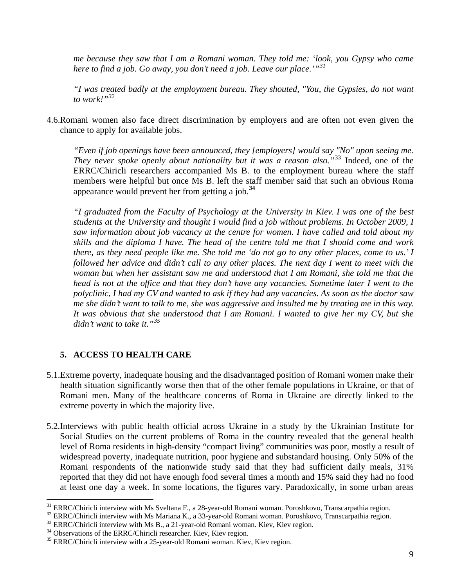*me because they saw that I am a Romani woman. They told me: 'look, you Gypsy who came here to find a job. Go away, you don't need a job. Leave our place.'"[31](#page-8-0)* 

*"I was treated badly at the employment bureau. They shouted, "You, the Gypsies, do not want to work!"[32](#page-8-1)* 

4.6.Romani women also face direct discrimination by employers and are often not even given the chance to apply for available jobs.

*"Even if job openings have been announced, they [employers] would say "No" upon seeing me. They never spoke openly about nationality but it was a reason also."*[33](#page-8-2) Indeed, one of the ERRC/Chiricli researchers accompanied Ms B. to the employment bureau where the staff members were helpful but once Ms B. left the staff member said that such an obvious Roma appearance would prevent her from getting a job.**[34](#page-8-3)**

*"I graduated from the Faculty of Psychology at the University in Kiev. I was one of the best students at the University and thought I would find a job without problems. In October 2009, I saw information about job vacancy at the centre for women. I have called and told about my skills and the diploma I have. The head of the centre told me that I should come and work there, as they need people like me. She told me 'do not go to any other places, come to us.' I followed her advice and didn't call to any other places. The next day I went to meet with the woman but when her assistant saw me and understood that I am Romani, she told me that the head is not at the office and that they don't have any vacancies. Sometime later I went to the polyclinic, I had my CV and wanted to ask if they had any vacancies. As soon as the doctor saw me she didn't want to talk to me, she was aggressive and insulted me by treating me in this way. It was obvious that she understood that I am Romani. I wanted to give her my CV, but she didn't want to take it."[35](#page-8-4)* 

# **5. ACCESS TO HEALTH CARE**

- 5.1.Extreme poverty, inadequate housing and the disadvantaged position of Romani women make their health situation significantly worse then that of the other female populations in Ukraine, or that of Romani men. Many of the healthcare concerns of Roma in Ukraine are directly linked to the extreme poverty in which the majority live.
- 5.2.Interviews with public health official across Ukraine in a study by the Ukrainian Institute for Social Studies on the current problems of Roma in the country revealed that the general health level of Roma residents in high-density "compact living" communities was poor, mostly a result of widespread poverty, inadequate nutrition, poor hygiene and substandard housing. Only 50% of the Romani respondents of the nationwide study said that they had sufficient daily meals, 31% reported that they did not have enough food several times a month and 15% said they had no food at least one day a week. In some locations, the figures vary. Paradoxically, in some urban areas

<span id="page-8-1"></span><span id="page-8-0"></span><sup>&</sup>lt;sup>31</sup> ERRC/Chiricli interview with Ms Sveltana F., a 28-year-old Romani woman. Poroshkovo, Transcarpathia region.<br><sup>32</sup> ERRC/Chiricli interview with Ms Mariana K., a 33-year-old Romani woman. Poroshkovo, Transcarpathia regi

<span id="page-8-2"></span>

<span id="page-8-3"></span>

<span id="page-8-4"></span><sup>&</sup>lt;sup>35</sup> ERRC/Chiricli interview with a 25-year-old Romani woman. Kiev, Kiev region.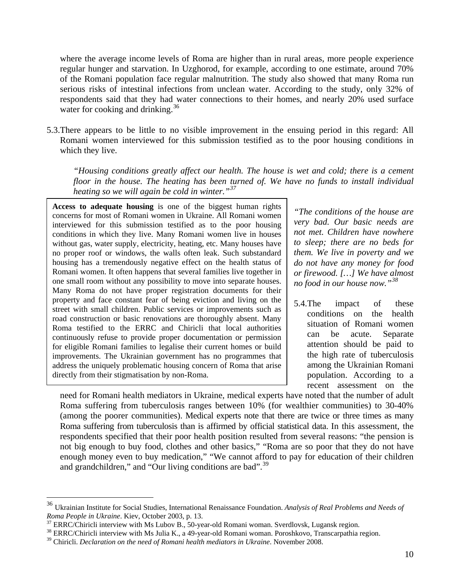where the average income levels of Roma are higher than in rural areas, more people experience regular hunger and starvation. In Uzghorod, for example, according to one estimate, around 70% of the Romani population face regular malnutrition. The study also showed that many Roma run serious risks of intestinal infections from unclean water. According to the study, only 32% of respondents said that they had water connections to their homes, and nearly 20% used surface water for cooking and drinking.<sup>[36](#page-9-0)</sup>

5.3.There appears to be little to no visible improvement in the ensuing period in this regard: All Romani women interviewed for this submission testified as to the poor housing conditions in which they live.

*"Housing conditions greatly affect our health. The house is wet and cold; there is a cement floor in the house. The heating has been turned of. We have no funds to install individual heating so we will again be cold in winter."[37](#page-9-1)* 

**Access to adequate housing** is one of the biggest human rights concerns for most of Romani women in Ukraine. All Romani women interviewed for this submission testified as to the poor housing conditions in which they live. Many Romani women live in houses without gas, water supply, electricity, heating, etc. Many houses have no proper roof or windows, the walls often leak. Such substandard housing has a tremendously negative effect on the health status of Romani women. It often happens that several families live together in one small room without any possibility to move into separate houses. Many Roma do not have proper registration documents for their property and face constant fear of being eviction and living on the street with small children. Public services or improvements such as road construction or basic renovations are thoroughly absent. Many Roma testified to the ERRC and Chiricli that local authorities continuously refuse to provide proper documentation or permission for eligible Romani families to legalise their current homes or build improvements. The Ukrainian government has no programmes that address the uniquely problematic housing concern of Roma that arise directly from their stigmatisation by non-Roma.

*"The conditions of the house are very bad. Our basic needs are not met. Children have nowhere to sleep; there are no beds for them. We live in poverty and we do not have any money for food or firewood. […] We have almost no food in our house now."[38](#page-9-2)* 

5.4.The impact of these conditions on the health situation of Romani women can be acute. Separate attention should be paid to the high rate of tuberculosis among the Ukrainian Romani population. According to a recent assessment on the

need for Romani health mediators in Ukraine, medical experts have noted that the number of adult Roma suffering from tuberculosis ranges between 10% (for wealthier communities) to 30-40% (among the poorer communities). Medical experts note that there are twice or three times as many Roma suffering from tuberculosis than is affirmed by official statistical data. In this assessment, the respondents specified that their poor health position resulted from several reasons: "the pension is not big enough to buy food, clothes and other basics," "Roma are so poor that they do not have enough money even to buy medication," "We cannot afford to pay for education of their children and grandchildren," and "Our living conditions are bad".<sup>[39](#page-9-3)</sup>

<span id="page-9-0"></span><sup>36</sup> Ukrainian Institute for Social Studies, International Renaissance Foundation. *Analysis of Real Problems and Needs of Roma People in Ukraine*. Kiev, October 2003, p. 13.<br><sup>37</sup> ERRC/Chiricli interview with Ms Lubov B., 50-year-old Romani woman. Sverdlovsk, Lugansk region.

<span id="page-9-1"></span>

<span id="page-9-2"></span><sup>&</sup>lt;sup>38</sup> ERRC/Chiricli interview with Ms Julia K., a 49-year-old Romani woman. Poroshkovo, Transcarpathia region.

<span id="page-9-3"></span><sup>39</sup> Chiricli. *Declaration on the need of Romani health mediators in Ukraine*. November 2008.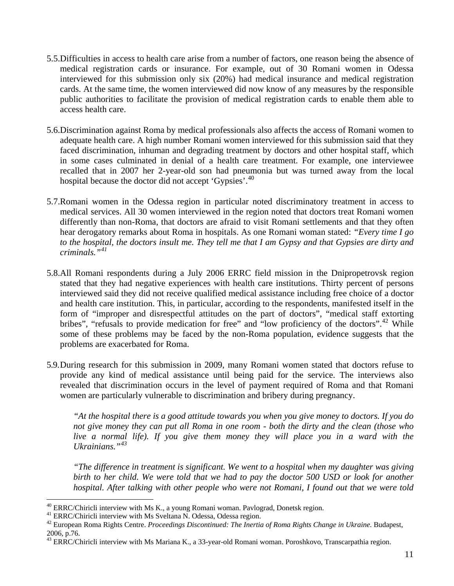- 5.5.Difficulties in access to health care arise from a number of factors, one reason being the absence of medical registration cards or insurance. For example, out of 30 Romani women in Odessa interviewed for this submission only six (20%) had medical insurance and medical registration cards. At the same time, the women interviewed did now know of any measures by the responsible public authorities to facilitate the provision of medical registration cards to enable them able to access health care.
- 5.6.Discrimination against Roma by medical professionals also affects the access of Romani women to adequate health care. A high number Romani women interviewed for this submission said that they faced discrimination, inhuman and degrading treatment by doctors and other hospital staff, which in some cases culminated in denial of a health care treatment. For example, one interviewee recalled that in 2007 her 2-year-old son had pneumonia but was turned away from the local hospital because the doctor did not accept 'Gypsies'.<sup>[40](#page-10-0)</sup>
- 5.7.Romani women in the Odessa region in particular noted discriminatory treatment in access to medical services. All 30 women interviewed in the region noted that doctors treat Romani women differently than non-Roma, that doctors are afraid to visit Romani settlements and that they often hear derogatory remarks about Roma in hospitals. As one Romani woman stated: *"Every time I go to the hospital, the doctors insult me. They tell me that I am Gypsy and that Gypsies are dirty and criminals."[41](#page-10-1)*
- 5.8.All Romani respondents during a July 2006 ERRC field mission in the Dnipropetrovsk region stated that they had negative experiences with health care institutions. Thirty percent of persons interviewed said they did not receive qualified medical assistance including free choice of a doctor and health care institution. This, in particular, according to the respondents, manifested itself in the form of "improper and disrespectful attitudes on the part of doctors", "medical staff extorting bribes", "refusals to provide medication for free" and "low proficiency of the doctors".<sup>[42](#page-10-2)</sup> While some of these problems may be faced by the non-Roma population, evidence suggests that the problems are exacerbated for Roma.
- 5.9.During research for this submission in 2009, many Romani women stated that doctors refuse to provide any kind of medical assistance until being paid for the service. The interviews also revealed that discrimination occurs in the level of payment required of Roma and that Romani women are particularly vulnerable to discrimination and bribery during pregnancy.

*"At the hospital there is a good attitude towards you when you give money to doctors. If you do not give money they can put all Roma in one room - both the dirty and the clean (those who live a normal life). If you give them money they will place you in a ward with the Ukrainians."[43](#page-10-3)* 

*"The difference in treatment is significant. We went to a hospital when my daughter was giving birth to her child. We were told that we had to pay the doctor 500 USD or look for another hospital. After talking with other people who were not Romani, I found out that we were told* 

<span id="page-10-0"></span><sup>&</sup>lt;sup>40</sup> ERRC/Chiricli interview with Ms K., a young Romani woman. Pavlograd, Donetsk region.  $41$  ERRC/Chiricli interview with Ms Sveltana N. Odessa, Odessa region.

<span id="page-10-2"></span><span id="page-10-1"></span><sup>42</sup> European Roma Rights Centre. *Proceedings Discontinued: The Inertia of Roma Rights Change in Ukraine*. Budapest, 2006, p.76.

<span id="page-10-3"></span><sup>&</sup>lt;sup>43</sup> ERRC/Chiricli interview with Ms Mariana K., a 33-year-old Romani woman. Poroshkovo, Transcarpathia region.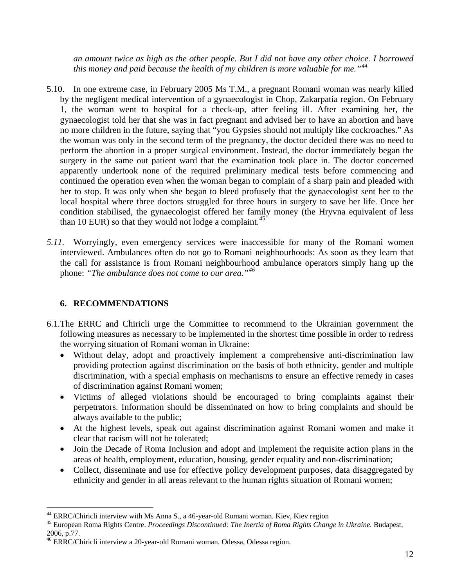*an amount twice as high as the other people. But I did not have any other choice. I borrowed this money and paid because the health of my children is more valuable for me."[44](#page-11-0)*

- 5.10. In one extreme case, in February 2005 Ms T.M., a pregnant Romani woman was nearly killed by the negligent medical intervention of a gynaecologist in Chop, Zakarpatia region. On February 1, the woman went to hospital for a check-up, after feeling ill. After examining her, the gynaecologist told her that she was in fact pregnant and advised her to have an abortion and have no more children in the future, saying that "you Gypsies should not multiply like cockroaches." As the woman was only in the second term of the pregnancy, the doctor decided there was no need to perform the abortion in a proper surgical environment. Instead, the doctor immediately began the surgery in the same out patient ward that the examination took place in. The doctor concerned apparently undertook none of the required preliminary medical tests before commencing and continued the operation even when the woman began to complain of a sharp pain and pleaded with her to stop. It was only when she began to bleed profusely that the gynaecologist sent her to the local hospital where three doctors struggled for three hours in surgery to save her life. Once her condition stabilised, the gynaecologist offered her family money (the Hryvna equivalent of less than 10 EUR) so that they would not lodge a complaint.<sup>[45](#page-11-1)</sup>
- *5.11.* Worryingly, even emergency services were inaccessible for many of the Romani women interviewed. Ambulances often do not go to Romani neighbourhoods: As soon as they learn that the call for assistance is from Romani neighbourhood ambulance operators simply hang up the phone: *"The ambulance does not come to our area."[46](#page-11-2)*

# **6. RECOMMENDATIONS**

- 6.1.The ERRC and Chiricli urge the Committee to recommend to the Ukrainian government the following measures as necessary to be implemented in the shortest time possible in order to redress the worrying situation of Romani woman in Ukraine:
	- Without delay, adopt and proactively implement a comprehensive anti-discrimination law providing protection against discrimination on the basis of both ethnicity, gender and multiple discrimination, with a special emphasis on mechanisms to ensure an effective remedy in cases of discrimination against Romani women;
	- Victims of alleged violations should be encouraged to bring complaints against their perpetrators. Information should be disseminated on how to bring complaints and should be always available to the public;
	- At the highest levels, speak out against discrimination against Romani women and make it clear that racism will not be tolerated;
	- Join the Decade of Roma Inclusion and adopt and implement the requisite action plans in the areas of health, employment, education, housing, gender equality and non-discrimination;
	- Collect, disseminate and use for effective policy development purposes, data disaggregated by ethnicity and gender in all areas relevant to the human rights situation of Romani women;

<span id="page-11-0"></span><sup>&</sup>lt;sup>44</sup> ERRC/Chiricli interview with Ms Anna S., a 46-year-old Romani woman. Kiev, Kiev region

<span id="page-11-1"></span><sup>45</sup> European Roma Rights Centre. *Proceedings Discontinued: The Inertia of Roma Rights Change in Ukraine*. Budapest, 2006, p.77.

<span id="page-11-2"></span><sup>46</sup> ERRC/Chiricli interview a 20-year-old Romani woman. Odessa, Odessa region.